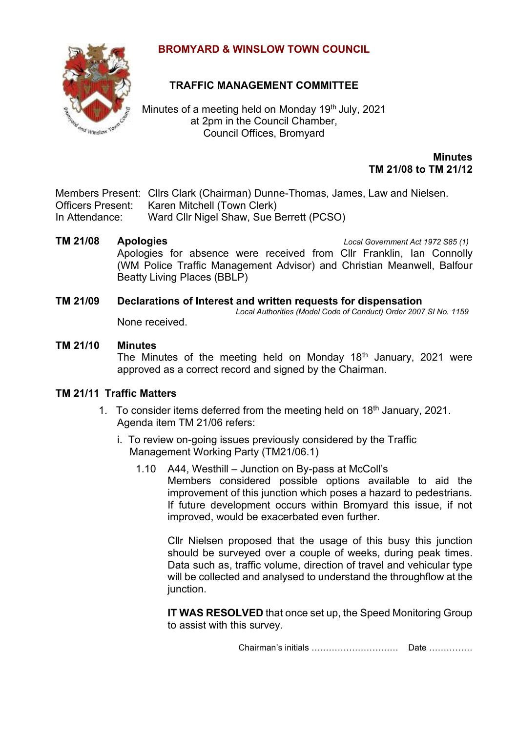## **BROMYARD & WINSLOW TOWN COUNCIL**



# **TRAFFIC MANAGEMENT COMMITTEE**

Minutes of a meeting held on Monday 19<sup>th</sup> July, 2021 at 2pm in the Council Chamber, Council Offices, Bromyard

> **Minutes TM 21/08 to TM 21/12**

Members Present: Cllrs Clark (Chairman) Dunne-Thomas, James, Law and Nielsen. Officers Present: Karen Mitchell (Town Clerk) In Attendance: Ward Cllr Nigel Shaw, Sue Berrett (PCSO)

**TM 21/08 Apologies** *Local Government Act 1972 S85 (1)* Apologies for absence were received from Cllr Franklin, Ian Connolly (WM Police Traffic Management Advisor) and Christian Meanwell, Balfour Beatty Living Places (BBLP)

#### **TM 21/09 Declarations of Interest and written requests for dispensation** *Local Authorities (Model Code of Conduct) Order 2007 SI No. 1159*

None received.

### **TM 21/10 Minutes**

The Minutes of the meeting held on Monday  $18<sup>th</sup>$  January, 2021 were approved as a correct record and signed by the Chairman.

### **TM 21/11 Traffic Matters**

- 1. To consider items deferred from the meeting held on  $18<sup>th</sup>$  January, 2021. Agenda item TM 21/06 refers:
	- i. To review on-going issues previously considered by the Traffic Management Working Party (TM21/06.1)
		- 1.10 A44, Westhill Junction on By-pass at McColl's Members considered possible options available to aid the improvement of this junction which poses a hazard to pedestrians. If future development occurs within Bromyard this issue, if not improved, would be exacerbated even further.

Cllr Nielsen proposed that the usage of this busy this junction should be surveyed over a couple of weeks, during peak times. Data such as, traffic volume, direction of travel and vehicular type will be collected and analysed to understand the throughflow at the junction.

**IT WAS RESOLVED** that once set up, the Speed Monitoring Group to assist with this survey.

Chairman's initials ………………………… Date ……………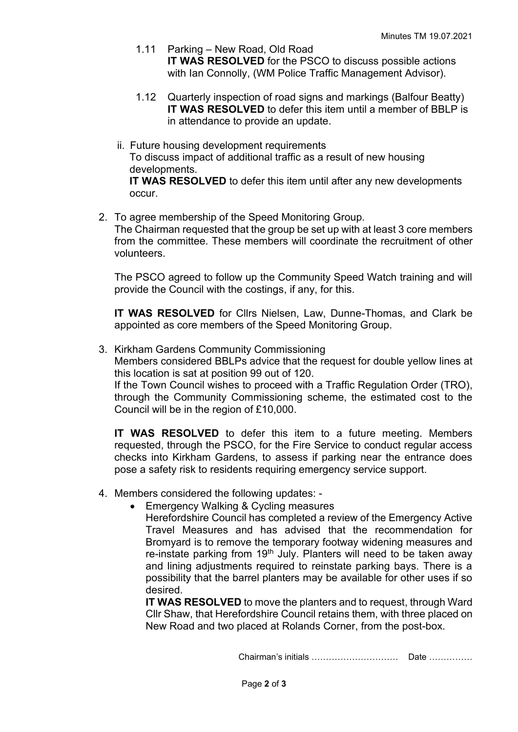- 1.11 Parking New Road, Old Road **IT WAS RESOLVED** for the PSCO to discuss possible actions with Ian Connolly, (WM Police Traffic Management Advisor).
- 1.12 Quarterly inspection of road signs and markings (Balfour Beatty) **IT WAS RESOLVED** to defer this item until a member of BBLP is in attendance to provide an update.
- ii. Future housing development requirements To discuss impact of additional traffic as a result of new housing developments.

**IT WAS RESOLVED** to defer this item until after any new developments occur.

2. To agree membership of the Speed Monitoring Group. The Chairman requested that the group be set up with at least 3 core members from the committee. These members will coordinate the recruitment of other volunteers.

The PSCO agreed to follow up the Community Speed Watch training and will provide the Council with the costings, if any, for this.

**IT WAS RESOLVED** for Cllrs Nielsen, Law, Dunne-Thomas, and Clark be appointed as core members of the Speed Monitoring Group.

3. Kirkham Gardens Community Commissioning

Members considered BBLPs advice that the request for double yellow lines at this location is sat at position 99 out of 120.

If the Town Council wishes to proceed with a Traffic Regulation Order (TRO), through the Community Commissioning scheme, the estimated cost to the Council will be in the region of £10,000.

**IT WAS RESOLVED** to defer this item to a future meeting. Members requested, through the PSCO, for the Fire Service to conduct regular access checks into Kirkham Gardens, to assess if parking near the entrance does pose a safety risk to residents requiring emergency service support.

- 4. Members considered the following updates:
	- Emergency Walking & Cycling measures

Herefordshire Council has completed a review of the Emergency Active Travel Measures and has advised that the recommendation for Bromyard is to remove the temporary footway widening measures and re-instate parking from  $19<sup>th</sup>$  July. Planters will need to be taken away and lining adjustments required to reinstate parking bays. There is a possibility that the barrel planters may be available for other uses if so desired.

**IT WAS RESOLVED** to move the planters and to request, through Ward Cllr Shaw, that Herefordshire Council retains them, with three placed on New Road and two placed at Rolands Corner, from the post-box.

Chairman's initials ………………………… Date ……………